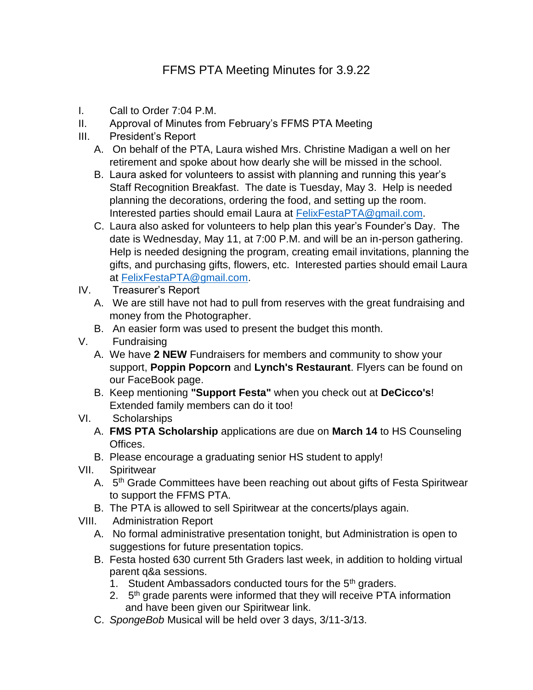- I. Call to Order 7:04 P.M.
- II. Approval of Minutes from February's FFMS PTA Meeting
- III. President's Report
	- A. On behalf of the PTA, Laura wished Mrs. Christine Madigan a well on her retirement and spoke about how dearly she will be missed in the school.
	- B. Laura asked for volunteers to assist with planning and running this year's Staff Recognition Breakfast. The date is Tuesday, May 3. Help is needed planning the decorations, ordering the food, and setting up the room. Interested parties should email Laura at [FelixFestaPTA@gmail.com.](mailto:FelixFestaPTA@gmail.com)
	- C. Laura also asked for volunteers to help plan this year's Founder's Day. The date is Wednesday, May 11, at 7:00 P.M. and will be an in-person gathering. Help is needed designing the program, creating email invitations, planning the gifts, and purchasing gifts, flowers, etc. Interested parties should email Laura at [FelixFestaPTA@gmail.com.](mailto:FelixFestaPTA@gmail.com)
- IV. Treasurer's Report
	- A. We are still have not had to pull from reserves with the great fundraising and money from the Photographer.
	- B. An easier form was used to present the budget this month.
- V. Fundraising
	- A. We have **2 NEW** Fundraisers for members and community to show your support, **Poppin Popcorn** and **Lynch's Restaurant**. Flyers can be found on our FaceBook page.
	- B. Keep mentioning **"Support Festa"** when you check out at **DeCicco's**! Extended family members can do it too!
- VI. Scholarships
	- A. **FMS PTA Scholarship** applications are due on **March 14** to HS Counseling Offices.
	- B. Please encourage a graduating senior HS student to apply!
- VII. Spiritwear
	- A. 5<sup>th</sup> Grade Committees have been reaching out about gifts of Festa Spiritwear to support the FFMS PTA.
	- B. The PTA is allowed to sell Spiritwear at the concerts/plays again.
- VIII. Administration Report
	- A. No formal administrative presentation tonight, but Administration is open to suggestions for future presentation topics.
	- B. Festa hosted 630 current 5th Graders last week, in addition to holding virtual parent q&a sessions.
		- 1. Student Ambassadors conducted tours for the 5<sup>th</sup> graders.
		- 2. 5<sup>th</sup> grade parents were informed that they will receive PTA information and have been given our Spiritwear link.
	- C. *SpongeBob* Musical will be held over 3 days, 3/11-3/13.